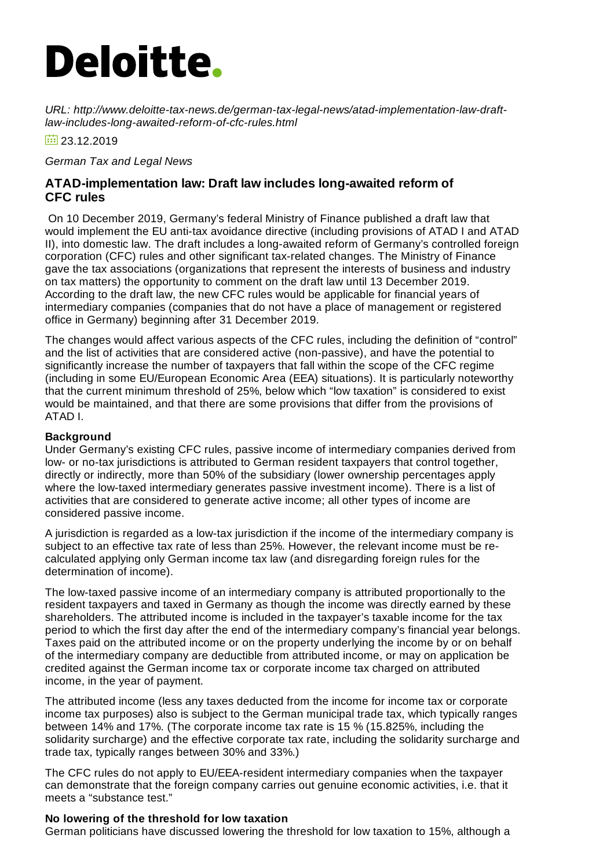# **Deloitte.**

*URL: http://www.deloitte-tax-news.de/german-tax-legal-news/atad-implementation-law-draftlaw-includes-long-awaited-reform-of-cfc-rules.html*

 $\overline{10}$  23.12.2019

*German Tax and Legal News*

## **ATAD-implementation law: Draft law includes long-awaited reform of CFC rules**

On 10 December 2019, Germany's federal Ministry of Finance published a draft law that would implement the EU anti-tax avoidance directive (including provisions of ATAD I and ATAD II), into domestic law. The draft includes a long-awaited reform of Germany's controlled foreign corporation (CFC) rules and other significant tax-related changes. The Ministry of Finance gave the tax associations (organizations that represent the interests of business and industry on tax matters) the opportunity to comment on the draft law until 13 December 2019. According to the draft law, the new CFC rules would be applicable for financial years of intermediary companies (companies that do not have a place of management or registered office in Germany) beginning after 31 December 2019.

The changes would affect various aspects of the CFC rules, including the definition of "control" and the list of activities that are considered active (non-passive), and have the potential to significantly increase the number of taxpayers that fall within the scope of the CFC regime (including in some EU/European Economic Area (EEA) situations). It is particularly noteworthy that the current minimum threshold of 25%, below which "low taxation" is considered to exist would be maintained, and that there are some provisions that differ from the provisions of ATAD I.

## **Background**

Under Germany's existing CFC rules, passive income of intermediary companies derived from low- or no-tax jurisdictions is attributed to German resident taxpayers that control together, directly or indirectly, more than 50% of the subsidiary (lower ownership percentages apply where the low-taxed intermediary generates passive investment income). There is a list of activities that are considered to generate active income; all other types of income are considered passive income.

A jurisdiction is regarded as a low-tax jurisdiction if the income of the intermediary company is subject to an effective tax rate of less than 25%. However, the relevant income must be recalculated applying only German income tax law (and disregarding foreign rules for the determination of income).

The low-taxed passive income of an intermediary company is attributed proportionally to the resident taxpayers and taxed in Germany as though the income was directly earned by these shareholders. The attributed income is included in the taxpayer's taxable income for the tax period to which the first day after the end of the intermediary company's financial year belongs. Taxes paid on the attributed income or on the property underlying the income by or on behalf of the intermediary company are deductible from attributed income, or may on application be credited against the German income tax or corporate income tax charged on attributed income, in the year of payment.

The attributed income (less any taxes deducted from the income for income tax or corporate income tax purposes) also is subject to the German municipal trade tax, which typically ranges between 14% and 17%. (The corporate income tax rate is 15 % (15.825%, including the solidarity surcharge) and the effective corporate tax rate, including the solidarity surcharge and trade tax, typically ranges between 30% and 33%.)

The CFC rules do not apply to EU/EEA-resident intermediary companies when the taxpayer can demonstrate that the foreign company carries out genuine economic activities, i.e. that it meets a "substance test."

## **No lowering of the threshold for low taxation**

German politicians have discussed lowering the threshold for low taxation to 15%, although a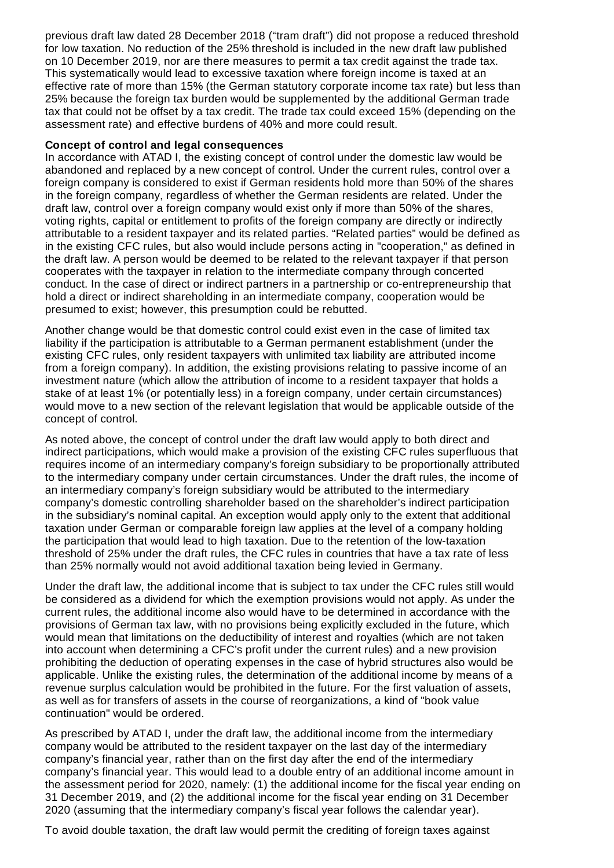previous draft law dated 28 December 2018 ("tram draft") did not propose a reduced threshold for low taxation. No reduction of the 25% threshold is included in the new draft law published on 10 December 2019, nor are there measures to permit a tax credit against the trade tax. This systematically would lead to excessive taxation where foreign income is taxed at an effective rate of more than 15% (the German statutory corporate income tax rate) but less than 25% because the foreign tax burden would be supplemented by the additional German trade tax that could not be offset by a tax credit. The trade tax could exceed 15% (depending on the assessment rate) and effective burdens of 40% and more could result.

#### **Concept of control and legal consequences**

In accordance with ATAD I, the existing concept of control under the domestic law would be abandoned and replaced by a new concept of control. Under the current rules, control over a foreign company is considered to exist if German residents hold more than 50% of the shares in the foreign company, regardless of whether the German residents are related. Under the draft law, control over a foreign company would exist only if more than 50% of the shares, voting rights, capital or entitlement to profits of the foreign company are directly or indirectly attributable to a resident taxpayer and its related parties. "Related parties" would be defined as in the existing CFC rules, but also would include persons acting in "cooperation," as defined in the draft law. A person would be deemed to be related to the relevant taxpayer if that person cooperates with the taxpayer in relation to the intermediate company through concerted conduct. In the case of direct or indirect partners in a partnership or co-entrepreneurship that hold a direct or indirect shareholding in an intermediate company, cooperation would be presumed to exist; however, this presumption could be rebutted.

Another change would be that domestic control could exist even in the case of limited tax liability if the participation is attributable to a German permanent establishment (under the existing CFC rules, only resident taxpayers with unlimited tax liability are attributed income from a foreign company). In addition, the existing provisions relating to passive income of an investment nature (which allow the attribution of income to a resident taxpayer that holds a stake of at least 1% (or potentially less) in a foreign company, under certain circumstances) would move to a new section of the relevant legislation that would be applicable outside of the concept of control.

As noted above, the concept of control under the draft law would apply to both direct and indirect participations, which would make a provision of the existing CFC rules superfluous that requires income of an intermediary company's foreign subsidiary to be proportionally attributed to the intermediary company under certain circumstances. Under the draft rules, the income of an intermediary company's foreign subsidiary would be attributed to the intermediary company's domestic controlling shareholder based on the shareholder's indirect participation in the subsidiary's nominal capital. An exception would apply only to the extent that additional taxation under German or comparable foreign law applies at the level of a company holding the participation that would lead to high taxation. Due to the retention of the low-taxation threshold of 25% under the draft rules, the CFC rules in countries that have a tax rate of less than 25% normally would not avoid additional taxation being levied in Germany.

Under the draft law, the additional income that is subject to tax under the CFC rules still would be considered as a dividend for which the exemption provisions would not apply. As under the current rules, the additional income also would have to be determined in accordance with the provisions of German tax law, with no provisions being explicitly excluded in the future, which would mean that limitations on the deductibility of interest and royalties (which are not taken into account when determining a CFC's profit under the current rules) and a new provision prohibiting the deduction of operating expenses in the case of hybrid structures also would be applicable. Unlike the existing rules, the determination of the additional income by means of a revenue surplus calculation would be prohibited in the future. For the first valuation of assets, as well as for transfers of assets in the course of reorganizations, a kind of "book value continuation" would be ordered.

As prescribed by ATAD I, under the draft law, the additional income from the intermediary company would be attributed to the resident taxpayer on the last day of the intermediary company's financial year, rather than on the first day after the end of the intermediary company's financial year. This would lead to a double entry of an additional income amount in the assessment period for 2020, namely: (1) the additional income for the fiscal year ending on 31 December 2019, and (2) the additional income for the fiscal year ending on 31 December 2020 (assuming that the intermediary company's fiscal year follows the calendar year).

To avoid double taxation, the draft law would permit the crediting of foreign taxes against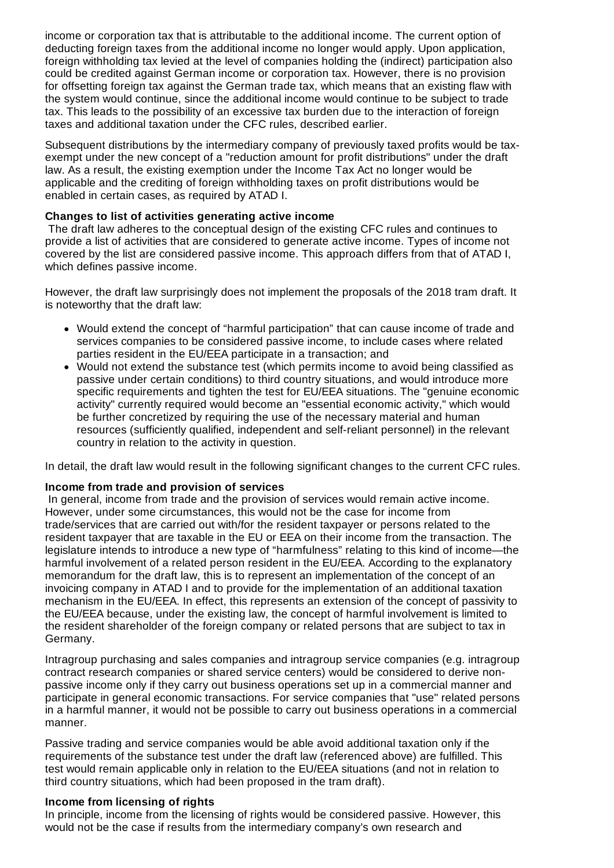income or corporation tax that is attributable to the additional income. The current option of deducting foreign taxes from the additional income no longer would apply. Upon application, foreign withholding tax levied at the level of companies holding the (indirect) participation also could be credited against German income or corporation tax. However, there is no provision for offsetting foreign tax against the German trade tax, which means that an existing flaw with the system would continue, since the additional income would continue to be subject to trade tax. This leads to the possibility of an excessive tax burden due to the interaction of foreign taxes and additional taxation under the CFC rules, described earlier.

Subsequent distributions by the intermediary company of previously taxed profits would be taxexempt under the new concept of a "reduction amount for profit distributions" under the draft law. As a result, the existing exemption under the Income Tax Act no longer would be applicable and the crediting of foreign withholding taxes on profit distributions would be enabled in certain cases, as required by ATAD I.

## **Changes to list of activities generating active income**

The draft law adheres to the conceptual design of the existing CFC rules and continues to provide a list of activities that are considered to generate active income. Types of income not covered by the list are considered passive income. This approach differs from that of ATAD I, which defines passive income.

However, the draft law surprisingly does not implement the proposals of the 2018 tram draft. It is noteworthy that the draft law:

- Would extend the concept of "harmful participation" that can cause income of trade and services companies to be considered passive income, to include cases where related parties resident in the EU/EEA participate in a transaction; and
- Would not extend the substance test (which permits income to avoid being classified as passive under certain conditions) to third country situations, and would introduce more specific requirements and tighten the test for EU/EEA situations. The "genuine economic activity" currently required would become an "essential economic activity," which would be further concretized by requiring the use of the necessary material and human resources (sufficiently qualified, independent and self-reliant personnel) in the relevant country in relation to the activity in question.

In detail, the draft law would result in the following significant changes to the current CFC rules.

#### **Income from trade and provision of services**

In general, income from trade and the provision of services would remain active income. However, under some circumstances, this would not be the case for income from trade/services that are carried out with/for the resident taxpayer or persons related to the resident taxpayer that are taxable in the EU or EEA on their income from the transaction. The legislature intends to introduce a new type of "harmfulness" relating to this kind of income—the harmful involvement of a related person resident in the EU/EEA. According to the explanatory memorandum for the draft law, this is to represent an implementation of the concept of an invoicing company in ATAD I and to provide for the implementation of an additional taxation mechanism in the EU/EEA. In effect, this represents an extension of the concept of passivity to the EU/EEA because, under the existing law, the concept of harmful involvement is limited to the resident shareholder of the foreign company or related persons that are subject to tax in Germany.

Intragroup purchasing and sales companies and intragroup service companies (e.g. intragroup contract research companies or shared service centers) would be considered to derive nonpassive income only if they carry out business operations set up in a commercial manner and participate in general economic transactions. For service companies that "use" related persons in a harmful manner, it would not be possible to carry out business operations in a commercial manner.

Passive trading and service companies would be able avoid additional taxation only if the requirements of the substance test under the draft law (referenced above) are fulfilled. This test would remain applicable only in relation to the EU/EEA situations (and not in relation to third country situations, which had been proposed in the tram draft).

#### **Income from licensing of rights**

In principle, income from the licensing of rights would be considered passive. However, this would not be the case if results from the intermediary company's own research and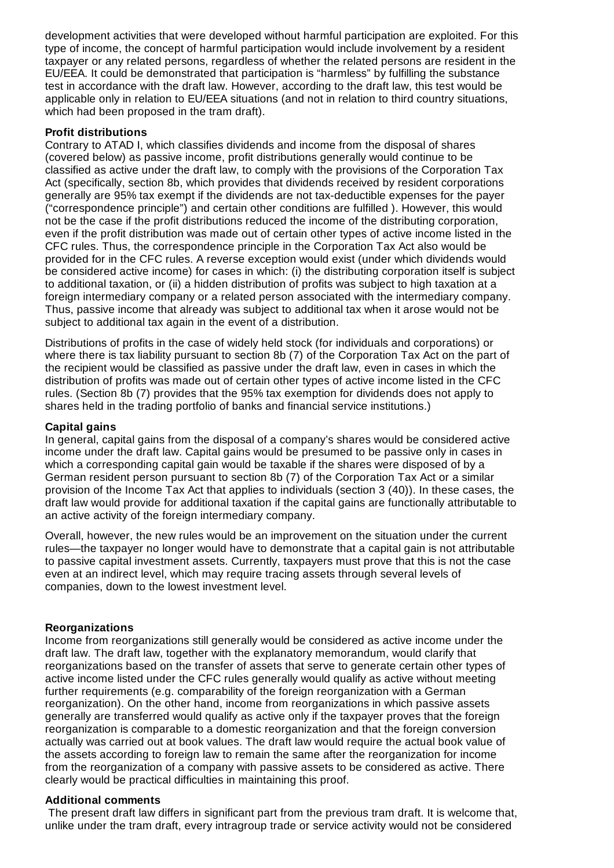development activities that were developed without harmful participation are exploited. For this type of income, the concept of harmful participation would include involvement by a resident taxpayer or any related persons, regardless of whether the related persons are resident in the EU/EEA. It could be demonstrated that participation is "harmless" by fulfilling the substance test in accordance with the draft law. However, according to the draft law, this test would be applicable only in relation to EU/EEA situations (and not in relation to third country situations, which had been proposed in the tram draft).

#### **Profit distributions**

Contrary to ATAD I, which classifies dividends and income from the disposal of shares (covered below) as passive income, profit distributions generally would continue to be classified as active under the draft law, to comply with the provisions of the Corporation Tax Act (specifically, section 8b, which provides that dividends received by resident corporations generally are 95% tax exempt if the dividends are not tax-deductible expenses for the payer ("correspondence principle") and certain other conditions are fulfilled ). However, this would not be the case if the profit distributions reduced the income of the distributing corporation, even if the profit distribution was made out of certain other types of active income listed in the CFC rules. Thus, the correspondence principle in the Corporation Tax Act also would be provided for in the CFC rules. A reverse exception would exist (under which dividends would be considered active income) for cases in which: (i) the distributing corporation itself is subject to additional taxation, or (ii) a hidden distribution of profits was subject to high taxation at a foreign intermediary company or a related person associated with the intermediary company. Thus, passive income that already was subject to additional tax when it arose would not be subject to additional tax again in the event of a distribution.

Distributions of profits in the case of widely held stock (for individuals and corporations) or where there is tax liability pursuant to section 8b (7) of the Corporation Tax Act on the part of the recipient would be classified as passive under the draft law, even in cases in which the distribution of profits was made out of certain other types of active income listed in the CFC rules. (Section 8b (7) provides that the 95% tax exemption for dividends does not apply to shares held in the trading portfolio of banks and financial service institutions.)

### **Capital gains**

In general, capital gains from the disposal of a company's shares would be considered active income under the draft law. Capital gains would be presumed to be passive only in cases in which a corresponding capital gain would be taxable if the shares were disposed of by a German resident person pursuant to section 8b (7) of the Corporation Tax Act or a similar provision of the Income Tax Act that applies to individuals (section 3 (40)). In these cases, the draft law would provide for additional taxation if the capital gains are functionally attributable to an active activity of the foreign intermediary company.

Overall, however, the new rules would be an improvement on the situation under the current rules—the taxpayer no longer would have to demonstrate that a capital gain is not attributable to passive capital investment assets. Currently, taxpayers must prove that this is not the case even at an indirect level, which may require tracing assets through several levels of companies, down to the lowest investment level.

#### **Reorganizations**

Income from reorganizations still generally would be considered as active income under the draft law. The draft law, together with the explanatory memorandum, would clarify that reorganizations based on the transfer of assets that serve to generate certain other types of active income listed under the CFC rules generally would qualify as active without meeting further requirements (e.g. comparability of the foreign reorganization with a German reorganization). On the other hand, income from reorganizations in which passive assets generally are transferred would qualify as active only if the taxpayer proves that the foreign reorganization is comparable to a domestic reorganization and that the foreign conversion actually was carried out at book values. The draft law would require the actual book value of the assets according to foreign law to remain the same after the reorganization for income from the reorganization of a company with passive assets to be considered as active. There clearly would be practical difficulties in maintaining this proof.

#### **Additional comments**

The present draft law differs in significant part from the previous tram draft. It is welcome that, unlike under the tram draft, every intragroup trade or service activity would not be considered